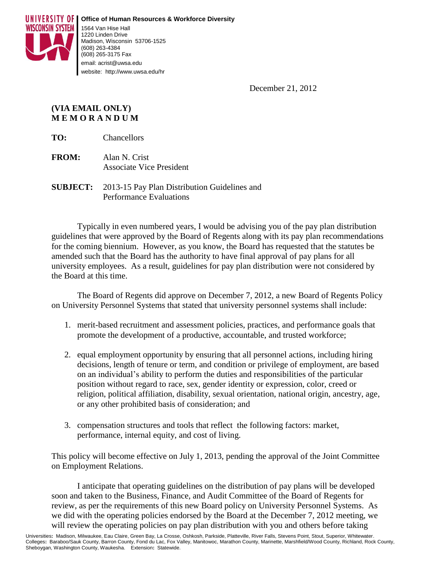

December 21, 2012

## **(VIA EMAIL ONLY) M E M O R A N D U M**

**TO:** Chancellors

- **FROM:** Alan N. Crist Associate Vice President
- **SUBJECT:** 2013-15 Pay Plan Distribution Guidelines and Performance Evaluations

Typically in even numbered years, I would be advising you of the pay plan distribution guidelines that were approved by the Board of Regents along with its pay plan recommendations for the coming biennium. However, as you know, the Board has requested that the statutes be amended such that the Board has the authority to have final approval of pay plans for all university employees. As a result, guidelines for pay plan distribution were not considered by the Board at this time.

The Board of Regents did approve on December 7, 2012, a new Board of Regents Policy on University Personnel Systems that stated that university personnel systems shall include:

- 1. merit-based recruitment and assessment policies, practices, and performance goals that promote the development of a productive, accountable, and trusted workforce;
- 2. equal employment opportunity by ensuring that all personnel actions, including hiring decisions, length of tenure or term, and condition or privilege of employment, are based on an individual's ability to perform the duties and responsibilities of the particular position without regard to race, sex, gender identity or expression, color, creed or religion, political affiliation, disability, sexual orientation, national origin, ancestry, age, or any other prohibited basis of consideration; and
- 3. compensation structures and tools that reflect the following factors: market, performance, internal equity, and cost of living.

This policy will become effective on July 1, 2013, pending the approval of the Joint Committee on Employment Relations.

I anticipate that operating guidelines on the distribution of pay plans will be developed soon and taken to the Business, Finance, and Audit Committee of the Board of Regents for review, as per the requirements of this new Board policy on University Personnel Systems. As we did with the operating policies endorsed by the Board at the December 7, 2012 meeting, we will review the operating policies on pay plan distribution with you and others before taking